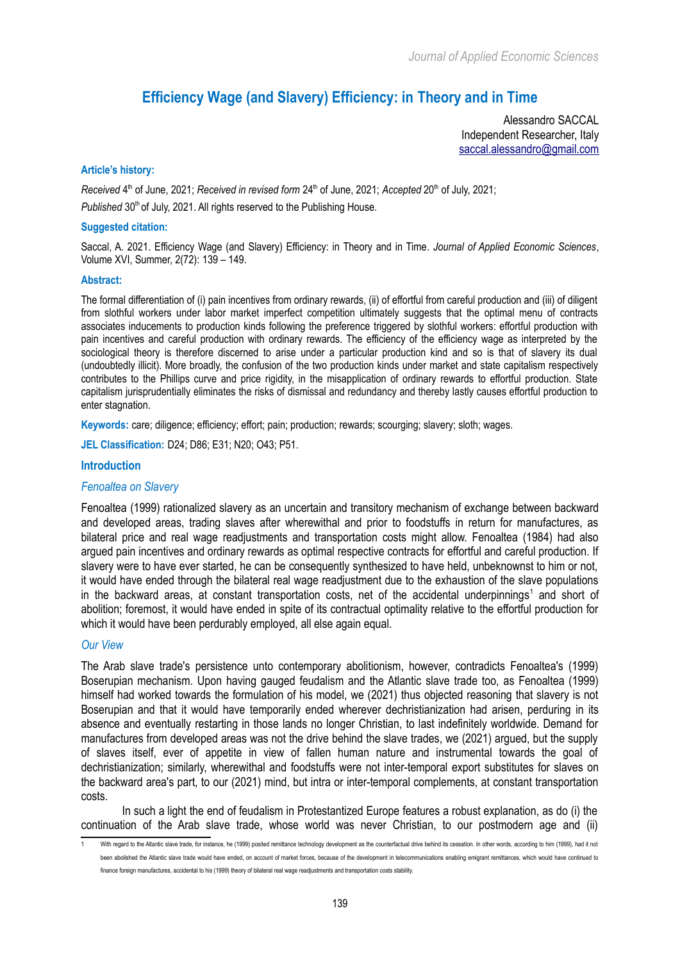# **Efficiency Wage (and Slavery) Efficiency: in Theory and in Time**

Alessandro SACCAL Independent Researcher, Italy [saccal.alessandro@gmail.com](mailto:saccal.alessandro@gmail.com)

#### **Article's history:**

Received 4<sup>th</sup> of June, 2021; *Received in revised form* 24<sup>th</sup> of June, 2021; *Accepted* 20<sup>th</sup> of July, 2021; *Published* 30<sup>th</sup> of July, 2021. All rights reserved to the Publishing House.

#### **Suggested citation:**

Saccal, A. 2021. Efficiency Wage (and Slavery) Efficiency: in Theory and in Time. *Journal of Applied Economic Sciences*, Volume XVI, Summer, 2(72): 139 – 149.

#### **Abstract:**

The formal differentiation of (i) pain incentives from ordinary rewards, (ii) of effortful from careful production and (iii) of diligent from slothful workers under labor market imperfect competition ultimately suggests that the optimal menu of contracts associates inducements to production kinds following the preference triggered by slothful workers: effortful production with pain incentives and careful production with ordinary rewards. The efficiency of the efficiency wage as interpreted by the sociological theory is therefore discerned to arise under a particular production kind and so is that of slavery its dual (undoubtedly illicit). More broadly, the confusion of the two production kinds under market and state capitalism respectively contributes to the Phillips curve and price rigidity, in the misapplication of ordinary rewards to effortful production. State capitalism jurisprudentially eliminates the risks of dismissal and redundancy and thereby lastly causes effortful production to enter stagnation.

**Keywords:** care; diligence; efficiency; effort; pain; production; rewards; scourging; slavery; sloth; wages.

**JEL Classification:** D24; D86; E31; N20; O43; P51.

#### **Introduction**

#### *Fenoaltea on Slavery*

Fenoaltea (1999) rationalized slavery as an uncertain and transitory mechanism of exchange between backward and developed areas, trading slaves after wherewithal and prior to foodstuffs in return for manufactures, as bilateral price and real wage readjustments and transportation costs might allow. Fenoaltea (1984) had also argued pain incentives and ordinary rewards as optimal respective contracts for effortful and careful production. If slavery were to have ever started, he can be consequently synthesized to have held, unbeknownst to him or not, it would have ended through the bilateral real wage readjustment due to the exhaustion of the slave populations in the backward areas, at constant transportation costs, net of the accidental underpinnings<sup>[1](#page-0-0)</sup> and short of abolition; foremost, it would have ended in spite of its contractual optimality relative to the effortful production for which it would have been perdurably employed, all else again equal.

#### *Our View*

The Arab slave trade's persistence unto contemporary abolitionism, however, contradicts Fenoaltea's (1999) Boserupian mechanism. Upon having gauged feudalism and the Atlantic slave trade too, as Fenoaltea (1999) himself had worked towards the formulation of his model, we (2021) thus objected reasoning that slavery is not Boserupian and that it would have temporarily ended wherever dechristianization had arisen, perduring in its absence and eventually restarting in those lands no longer Christian, to last indefinitely worldwide. Demand for manufactures from developed areas was not the drive behind the slave trades, we (2021) argued, but the supply of slaves itself, ever of appetite in view of fallen human nature and instrumental towards the goal of dechristianization; similarly, wherewithal and foodstuffs were not inter-temporal export substitutes for slaves on the backward area's part, to our (2021) mind, but intra or inter-temporal complements, at constant transportation costs.

In such a light the end of feudalism in Protestantized Europe features a robust explanation, as do (i) the continuation of the Arab slave trade, whose world was never Christian, to our postmodern age and (ii)

<span id="page-0-0"></span>With regard to the Atlantic slave trade, for instance, he (1999) posited remittance technology development as the counterfactual drive behind its cessation. In other words, according to him (1999), had it not been abolished the Atlantic slave trade would have ended, on account of market forces, because of the development in telecommunications enabling emigrant remittances, which would have continued to finance foreign manufactures, accidental to his (1999) theory of bilateral real wage readjustments and transportation costs stability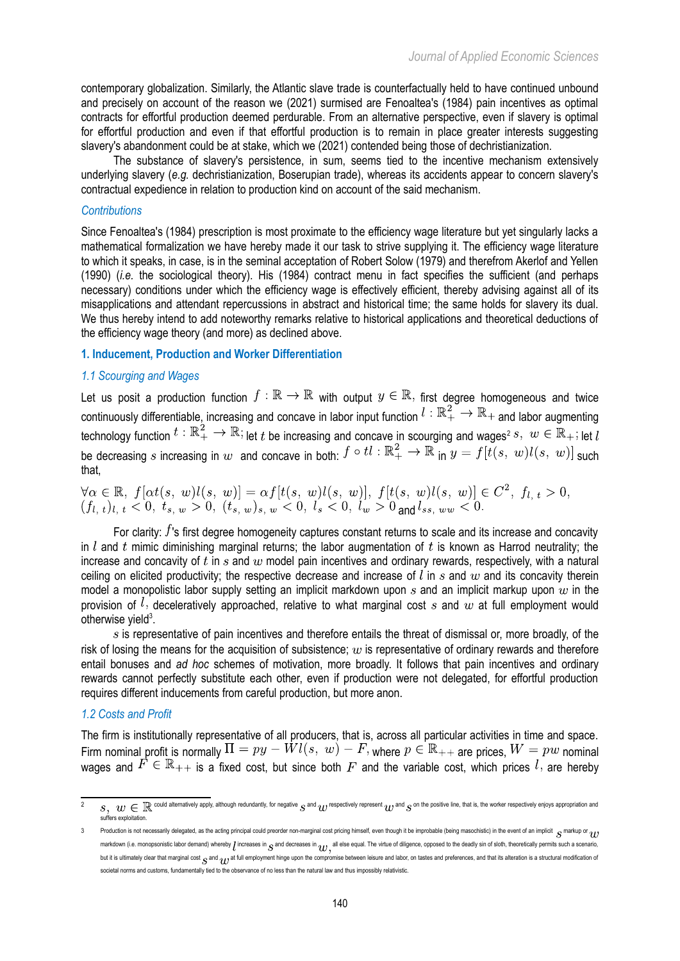contemporary globalization. Similarly, the Atlantic slave trade is counterfactually held to have continued unbound and precisely on account of the reason we (2021) surmised are Fenoaltea's (1984) pain incentives as optimal contracts for effortful production deemed perdurable. From an alternative perspective, even if slavery is optimal for effortful production and even if that effortful production is to remain in place greater interests suggesting slavery's abandonment could be at stake, which we (2021) contended being those of dechristianization.

The substance of slavery's persistence, in sum, seems tied to the incentive mechanism extensively underlying slavery (*e.g.* dechristianization, Boserupian trade), whereas its accidents appear to concern slavery's contractual expedience in relation to production kind on account of the said mechanism.

## *Contributions*

Since Fenoaltea's (1984) prescription is most proximate to the efficiency wage literature but yet singularly lacks a mathematical formalization we have hereby made it our task to strive supplying it. The efficiency wage literature to which it speaks, in case, is in the seminal acceptation of Robert Solow (1979) and therefrom Akerlof and Yellen (1990) (*i.e.* the sociological theory). His (1984) contract menu in fact specifies the sufficient (and perhaps necessary) conditions under which the efficiency wage is effectively efficient, thereby advising against all of its misapplications and attendant repercussions in abstract and historical time; the same holds for slavery its dual. We thus hereby intend to add noteworthy remarks relative to historical applications and theoretical deductions of the efficiency wage theory (and more) as declined above.

#### **1. Inducement, Production and Worker Differentiation**

## *1.1 Scourging and Wages*

Let us posit a production function  $f:\mathbb{R}\to\mathbb{R}$  with output  $y\in\mathbb{R}$ , first degree homogeneous and twice continuously differentiable, increasing and concave in labor input function  $l : \mathbb{R}_+^2 \to \mathbb{R}_+$  and labor augmenting technology function  $t : \mathbb{K}^{\mathbb{Z}}_+ \to \mathbb{K}$ ; let  $t$  be increasing and concave in scourging and wages<sup>[2](#page-1-0)</sup> s,  $w \in \mathbb{K}_+$ ; let be decreasing s increasing in w and concave in both:  $f \circ tl : \mathbb{R}^2_+ \to \mathbb{R}$  in  $y = f[t(s, w)l(s, w)]$  such that,

$$
\forall \alpha \in \mathbb{R}, f[\alpha t(s, w)l(s, w)] = \alpha f[t(s, w)l(s, w)], f[t(s, w)l(s, w)] \in C^2, f_{l, t} > 0, (f_{l, t})_{l, t} < 0, t_{s, w} > 0, (t_{s, w})_{s, w} < 0, l_s < 0, l_w > 0
$$
 and  $l_{ss, ww} < 0$ .

For clarity:  $f$ 's first degree homogeneity captures constant returns to scale and its increase and concavity in  $l$  and  $t$  mimic diminishing marginal returns; the labor augmentation of  $t$  is known as Harrod neutrality; the increase and concavity of t in s and w model pain incentives and ordinary rewards, respectively, with a natural ceiling on elicited productivity; the respective decrease and increase of  $l$  in  $s$  and  $w$  and its concavity therein model a monopolistic labor supply setting an implicit markdown upon  $s$  and an implicit markup upon  $w$  in the provision of  $l$ , deceleratively approached, relative to what marginal cost s and w at full employment would otherwise yield $3$ .

 $s$  is representative of pain incentives and therefore entails the threat of dismissal or, more broadly, of the risk of losing the means for the acquisition of subsistence;  $w$  is representative of ordinary rewards and therefore entail bonuses and *ad hoc* schemes of motivation, more broadly. It follows that pain incentives and ordinary rewards cannot perfectly substitute each other, even if production were not delegated, for effortful production requires different inducements from careful production, but more anon.

#### *1.2 Costs and Profit*

The firm is institutionally representative of all producers, that is, across all particular activities in time and space. Firm nominal profit is normally  $\Pi = py - Wl(s, w) - F$ , where  $p \in \mathbb{R}_{++}$  are prices,  $W = pw$  nominal wages and  $F \in \mathbb{R}_{++}$  is a fixed cost, but since both  $F$  and the variable cost, which prices  $l$ , are hereby

<span id="page-1-0"></span> $s,~w\in\mathbb{R}$  could alternatively apply, although redundantly, for negative  $s$  and  $w$  respectively represent  $w$  and  $s$  on the positive line, that is, the worker respectively enjoys appropriation and –<br>rs exploitation

<span id="page-1-1"></span><sup>3</sup> Production is not necessarily delegated, as the acting principal could preorder non-marginal cost pricing himself, even though it be improbable (being masochistic) in the event of an implicit  $S$  markup or  $\eta$ markdown (i.e. monopsonistic labor demand) whereby  $\bm{l}$  increases in  $\bm{c}$  and decreases in  $\bm{q}$ , all else equal. The virtue of diligence, opposed to the deadly sin of sloth, theoretically permits such a scenario, but it is ultimately clear that marginal cost  $S$  and  $m$  at full employment hinge upon the compromise between leisure and labor, on tastes and preferences, and that its alteration is a structural modification of societal norms and customs, fundamentally tied to the observance of no less than the natural law and thus impossibly relativistic.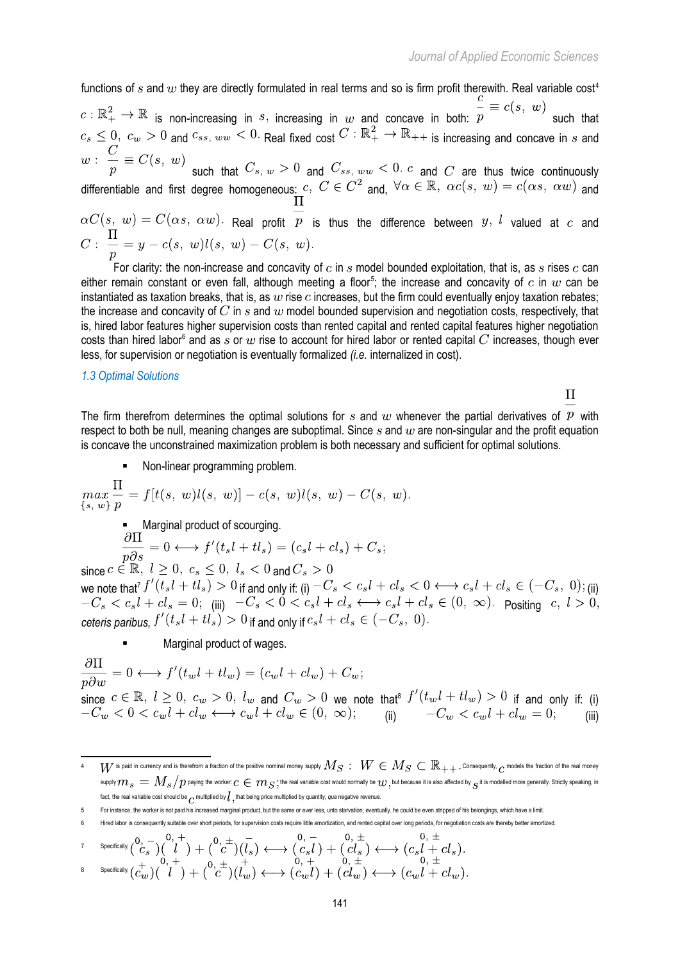functions of s and  $w$  they are directly formulated in real terms and so is firm profit therewith. Real variable cost<sup>[4](#page-2-0)</sup>  $c: \mathbb{R}^2_+ \to \mathbb{R}$  is non-increasing in s, increasing in w and concave in both:  $\frac{c}{p} \equiv c(s, w)$  such that  $a_n \leq 0$ ,  $c_w > 0$  and  $c_{ss, ww} < 0$ . Real fixed cost  $C : \mathbb{R}^2_+ \to \mathbb{R}_{++}$  is increasing and concave in s and

such that  $C_s$ ,  $w > 0$  and  $C_{ss}$ ,  $ww \leq 0$ . C and C are thus twice continuously differentiable and first degree homogeneous:  $c, C \in C^2$  and,  $\forall \alpha \in \mathbb{R}, \ \alpha c(s, w) = c(\alpha s, \ \alpha w)$  and

 $\alpha C(s, w) = C(\alpha s, \alpha w)$ . Real profit  $\overline{p}$  is thus the difference between  $y, l$  valued at  $c$  and  $C: \frac{\Pi}{n} = y - c(s, w)l(s, w) - C(s, w)$ .

For clarity: the non-increase and concavity of  $c$  in  $s$  model bounded exploitation, that is, as  $s$  rises  $c$  can either remain constant or even fall, although meeting a floor<sup>[5](#page-2-1)</sup>; the increase and concavity of  $c$  in  $w$  can be instantiated as taxation breaks, that is, as w rise c increases, but the firm could eventually enjoy taxation rebates; the increase and concavity of  $C$  in  $s$  and  $w$  model bounded supervision and negotiation costs, respectively, that is, hired labor features higher supervision costs than rented capital and rented capital features higher negotiation costs than hired labor $^6$  $^6$  and as  $s$  or  $w$  rise to account for hired labor or rented capital  $C$  increases, though ever less, for supervision or negotiation is eventually formalized *(i.e.* internalized in cost).

#### *1.3 Optimal Solutions*

 $\Pi$ 

The firm therefrom determines the optimal solutions for s and w whenever the partial derivatives of P with respect to both be null, meaning changes are suboptimal. Since  $s$  and  $w$  are non-singular and the profit equation is concave the unconstrained maximization problem is both necessary and sufficient for optimal solutions.

Non-linear programming problem.

$$
\max_{\{s, w\}} \frac{\Pi}{p} = f[t(s, w)l(s, w)] - c(s, w)l(s, w) - C(s, w).
$$

Marginal product of scourging.

$$
\frac{\partial \Pi}{\partial \partial s} = 0 \longleftrightarrow f'(t_s l + t l_s) = (c_s l + c l_s) + C_s;
$$

since  $c \in \mathbb{R}$ ,  $l > 0$ ,  $c_s \leq 0$ ,  $l_s < 0$  and  $C_s > 0$ we note that  $I^f$   $(t_s l+ t l_s)>0$  if and only if: (i)  $-C_s\leq c_s l+ c l_s\leq 0 \Longleftrightarrow c_s l+ c l_s\in (-C_s,~0);$  (ii) (iii)  $-C_s < 0 < c_s t + c t_s \longleftrightarrow c_s t + c t_s \in (0, \infty)$ . Positing *ceteris paribus,*  $f'(t_s l + t l_s) > 0$  if and only if  $c_s l + c l_s \in (-C_s, 0)$ .

Marginal product of wages.

 $\frac{\partial \Pi}{\partial w} = 0 \longleftrightarrow f'(t_w l + t l_w) = (c_w l + c l_w) + C_w;$ since  $c\in\mathbb R,\;l\ge 0,\;c_w>0,\;l_w$  and  $C_w>0$  we note that<sup>s</sup>  $f^{\cdot}(t_w\iota+t\iota_w)>0$  if and only if: (i) (ii)  $-C_w < c_w t + c t_w = 0;$  (iii)

<span id="page-2-3"></span>
$$
7 \qquad \text{Specifically} \, \left( \begin{matrix} 0, & - \\ C_S \end{matrix} \right) \left( \begin{matrix} 0, & + \\ l \end{matrix} \right) + \left( \begin{matrix} 0, & \pm \\ C \end{matrix} \right) \left( \begin{matrix} 0, & - \\ l \end{matrix} \right) \longleftrightarrow \left( \begin{matrix} 0, & - \\ C_S l \end{matrix} \right) + \left( \begin{matrix} 0, & \pm \\ C_S l \end{matrix} \right) \longleftrightarrow \left( \begin{matrix} 0, & \pm \\ C_S l + C l_S \end{matrix} \right).
$$

<span id="page-2-4"></span>
$$
^{\text{8}}\longrightarrow^{\text{Specifically}}(c_w^+)(\overset{\circ}{l}^+)+(\overset{\circ}{c}^+)(\overset{\circ}{l}^+_{w})\longleftrightarrow^{\bullet}(\overset{\circ}{c}_w\overset{\circ}{l})+(\overset{\circ}{c}\overset{\circ}{l}^+_{w})\longleftrightarrow^{\bullet}(\overset{\circ}{c}_w\overset{\circ}{l}+cl_w)
$$

<span id="page-2-0"></span> $W$  is paid in currency and is therefrom a fraction of the positive nominal money supply  $M_S:\;W\in M_S\subset \R_{++}.$  Consequently,  $c$  models the fraction of the real money supply  $m_s=M_s/p$  paying the worker:  $c\in m_S;$  the real variable cost would normally be  $w,$  but because it is also affected by  $\frac{}{c}$  it is modelled more generally. Strictly speaking, in fact, the real variable cost should be multiplied by  $l$ , that being price multiplied by quantity, *qua* negative revenue.

<span id="page-2-1"></span><sup>5</sup> For instance, the worker is not paid his increased marginal product, but the same or ever less, unto starvation; eventually, he could be even stripped of his belongings, which have a limit.

<span id="page-2-2"></span>Hired labor is consequently suitable over short periods, for supervision costs require little amortization, and rented capital over long periods, for negotiation costs are thereby better amortized.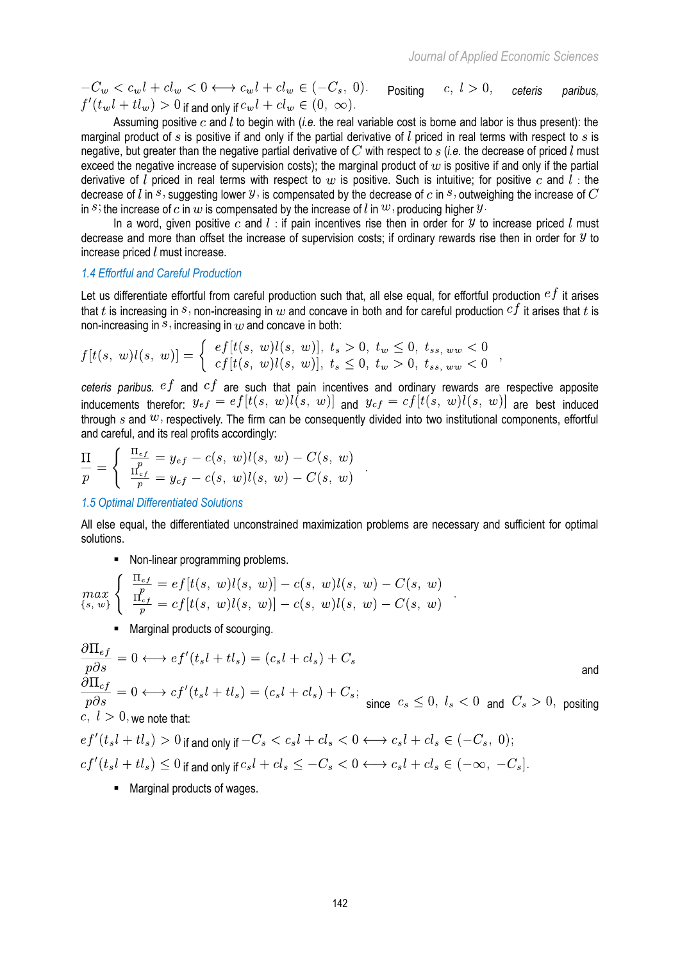$-C_w < c_w l + c l_w < 0 \longleftrightarrow c_w l + c l_w \in (-C_s, 0)$ . Positing  $c, l > 0$ , ceteris paribus,  $f'(t_w l + t l_w) > 0$  if and only if  $c_w l + c l_w \in (0, \infty)$ .

Assuming positive  $c$  and  $\overline{l}$  to begin with (*i.e.* the real variable cost is borne and labor is thus present): the marginal product of s is positive if and only if the partial derivative of  $l$  priced in real terms with respect to s is negative, but greater than the negative partial derivative of  $C$  with respect to  $s$  (*i.e.* the decrease of priced  $l$  must exceed the negative increase of supervision costs); the marginal product of  $w$  is positive if and only if the partial derivative of l priced in real terms with respect to w is positive. Such is intuitive; for positive c and l: the decrease of l in s, suggesting lower  $y$ , is compensated by the decrease of c in s, outweighing the increase of  $C$ in s; the increase of c in w is compensated by the increase of l in  $w$ , producing higher  $y$ .

In a word, given positive c and  $l$ : if pain incentives rise then in order for  $y$  to increase priced  $l$  must decrease and more than offset the increase of supervision costs; if ordinary rewards rise then in order for  $y$  to increase priced  $l$  must increase.

#### *1.4 Effortful and Careful Production*

Let us differentiate effortful from careful production such that, all else equal, for effortful production  $ef$  it arises that t is increasing in s, non-increasing in  $w$  and concave in both and for careful production  $cf$  it arises that t is non-increasing in  $\overline{s}$ , increasing in  $w$  and concave in both:

$$
f[t(s, w)l(s, w)] = \begin{cases} e f[t(s, w)l(s, w)], t_s > 0, t_w \le 0, t_{ss, ww} < 0\\ c f[t(s, w)l(s, w)], t_s \le 0, t_w > 0, t_{ss, ww} < 0 \end{cases}
$$

*ceteris paribus.*  $e f$  and  $c f$  are such that pain incentives and ordinary rewards are respective apposite inducements therefor:  $y_{\text{eff}} = ef[t(s, w)l(s, w)]$  and  $y_{\text{eff}} = cf[t(s, w)l(s, w)]$  are best induced through s and  $w$ , respectively. The firm can be consequently divided into two institutional components, effortful and careful, and its real profits accordingly:

$$
\frac{\Pi}{p} = \left\{ \begin{array}{l} \frac{\Pi_{ef}}{p} = y_{ef} - c(s, \; w) l(s, \; w) - C(s, \; w) \\ \frac{\Pi_{cf}}{p} = y_{cf} - c(s, \; w) l(s, \; w) - C(s, \; w) \end{array} \right. .
$$

#### *1.5 Optimal Differentiated Solutions*

All else equal, the differentiated unconstrained maximization problems are necessary and sufficient for optimal solutions.

## Non-linear programming problems.

$$
\max_{\{s, \ w\}} \left\{ \begin{array}{l} \frac{\Pi_{ef}}{p} = ef[t(s, \ w)l(s, \ w)] - c(s, \ w)l(s, \ w) - C(s, \ w) \\ \frac{\Pi_{cf}}{p} = cf[t(s, \ w)l(s, \ w)] - c(s, \ w)l(s, \ w) - C(s, \ w) \end{array} \right.
$$

Marginal products of scourging.

$$
\frac{\partial \Pi_{ef}}{\partial s} = 0 \longleftrightarrow ef'(t_s l + t l_s) = (c_s l + c l_s) + C_s
$$
\nand\n
$$
\frac{\partial \Pi_{cf}}{\partial s} = 0 \longleftrightarrow cf'(t_s l + t l_s) = (c_s l + c l_s) + C_s;
$$
\nsince  $c_s \le 0$ ,  $l_s < 0$  and  $C_s > 0$ , positive  
\n $c, l > 0$ , we note that:\n
$$
ef'(t_s l + t l_s) > 0 \text{ if and only if } -C_s < c_s l + c l_s < 0 \longleftrightarrow c_s l + c l_s \in (-C_s, 0);
$$
\n
$$
cf'(t_s l + t l_s) \le 0 \text{ if and only if } c_s l + c l_s \le -C_s < 0 \longleftrightarrow c_s l + c l_s \in (-\infty, -C_s].
$$

■ Marginal products of wages.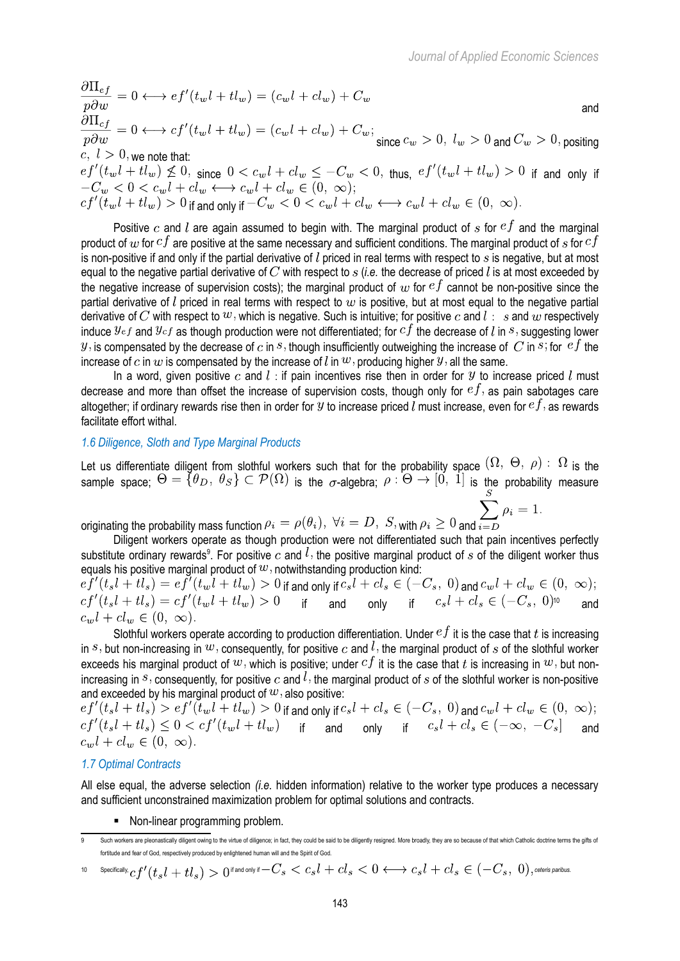and the contract of the contract of the contract of the contract of the contract of the contract of the contract of the contract of the contract of the contract of the contract of the contract of the contract of the contra since  $c_w > 0$ ,  $l_w > 0$  and  $C_w > 0$ , positing  $c, l > 0$ , we note that:

 $\begin{array}{l} e f'(t_wl+tl_w) \nleq 0, \text{ since } 0 < c_wl + cl_w \leq -C_w < 0, \text{ thus, } e f'(t_wl+tl_w) > 0 \text{ if and only if } -C_w < 0 < c_wl + cl_w \leftarrow c_wl + cl_w \in (0, \infty); \end{array}$  $cf'(\tilde{t}_w l + t l_w) > 0$  if and only if  $-C_w < 0 < c_w l + c l_w \longleftrightarrow c_w l + c l_w \in (0, \infty)$ .

Positive c and l are again assumed to begin with. The marginal product of s for  $e^f$  and the marginal product of  $w$  for  $cf$  are positive at the same necessary and sufficient conditions. The marginal product of  $s$  for  $cf$ is non-positive if and only if the partial derivative of  $l$  priced in real terms with respect to  $s$  is negative, but at most equal to the negative partial derivative of C with respect to  $s$  (*i.e.* the decrease of priced l is at most exceeded by the negative increase of supervision costs); the marginal product of  $w$  for  $ef$  cannot be non-positive since the partial derivative of  $l$  priced in real terms with respect to  $w$  is positive, but at most equal to the negative partial derivative of C with respect to  $w$ , which is negative. Such is intuitive; for positive c and  $l : s$  and w respectively induce  $y_{ef}$  and  $y_{cf}$  as though production were not differentiated; for  $cf$  the decrease of l in s, suggesting lower  $y$ , is compensated by the decrease of  $c$  in  $s$ , though insufficiently outweighing the increase of  $C$  in  $s$ ; for  $ef$  the increase of c in w is compensated by the increase of l in  $w$ , producing higher  $y$ , all the same.

In a word, given positive c and  $l$ : if pain incentives rise then in order for  $y$  to increase priced  $l$  must decrease and more than offset the increase of supervision costs, though only for  $ef$ , as pain sabotages care altogether; if ordinary rewards rise then in order for  $y$  to increase priced  $l$  must increase, even for  $ef$ , as rewards facilitate effort withal.

### *1.6 Diligence, Sloth and Type Marginal Products*

Let us differentiate diligent from slothful workers such that for the probability space  $(SZ, \Theta, \rho) \subset Y$  is the sample space;  $\Theta = \{\theta_D,\ \theta_S\} \subseteq P(\Omega)$  is the  $\sigma$ -algebra;  $\rho : \Theta \to [0, 1]$  is the probability measure

originating the probability mass function  $\rho_i = \rho(\theta_i)$ ,  $\forall i = D$ ,  $S$ , with  $\rho_i \ge 0$  and  $i=D$ <br>Diligent workers operate as though production

Diligent workers operate as though production were not differentiated such that pain incentives perfectly substitute ordinary rewards<sup>[9](#page-4-0)</sup>. For positive  $c$  and  $l$ , the positive marginal product of  $s$  of the diligent worker thus equals his positive marginal product of  $w$ , notwithstanding production kind:

 $\begin{array}{l}\n\text{of } t(t_s l + t l_s) = e f'(t_w l + t l_w) > 0 \text{ if and only if } c_s l + c l_s \in (-C_s, 0) \text{ and } c_w l + c l_w \in (0, \infty);\n\end{array}$  $cf'(t_s l + t l_s) = cf'(t_w l + t l_w) > 0$  if and only if  $c_s l + c l_s \in (-C_s, 0)^{10}$  $c_s l + c l_s \in (-C_s, 0)^{10}$  $c_s l + c l_s \in (-C_s, 0)^{10}$  and  $c_w l + c l_w \in (0, \infty).$ 

Slothful workers operate according to production differentiation. Under  $ef$  it is the case that  $t$  is increasing in s, but non-increasing in  $w$ , consequently, for positive c and  $l$ , the marginal product of s of the slothful worker exceeds his marginal product of  $w$ , which is positive; under  $cf$  it is the case that t is increasing in  $w$ , but nonincreasing in  $s$ , consequently, for positive c and  $l$ , the marginal product of  $s$  of the slothful worker is non-positive and exceeded by his marginal product of  $w$ , also positive:

if and only if  $c_s t + c t_s \in (-C_s, 0)$  and if and only if  $c_s\iota + c\iota_s \in (-\infty,~-C_s]$  and  $c_w l + c l_w \in (0, \infty).$ 

## *1.7 Optimal Contracts*

All else equal, the adverse selection *(i.e.* hidden information) relative to the worker type produces a necessary and sufficient unconstrained maximization problem for optimal solutions and contracts.

• Non-linear programming problem.

<span id="page-4-0"></span>Such workers are pleonastically diligent owing to the virtue of diligence; in fact, they could be said to be diligently resigned. More broadly, they are so because of that which Catholic doctrine terms the gifts of fortitude and fear of God, respectively produced by enlightened human will and the Spirit of God.

<span id="page-4-1"></span><sup>10</sup> Specifically,  $cf'(t_s l + t l_s) > 0$ if and only if  $-C_s < c_s l + c l_s < 0 \longleftrightarrow c_s l + c l_s \in (-C_s,~0),$  ceteris paribus.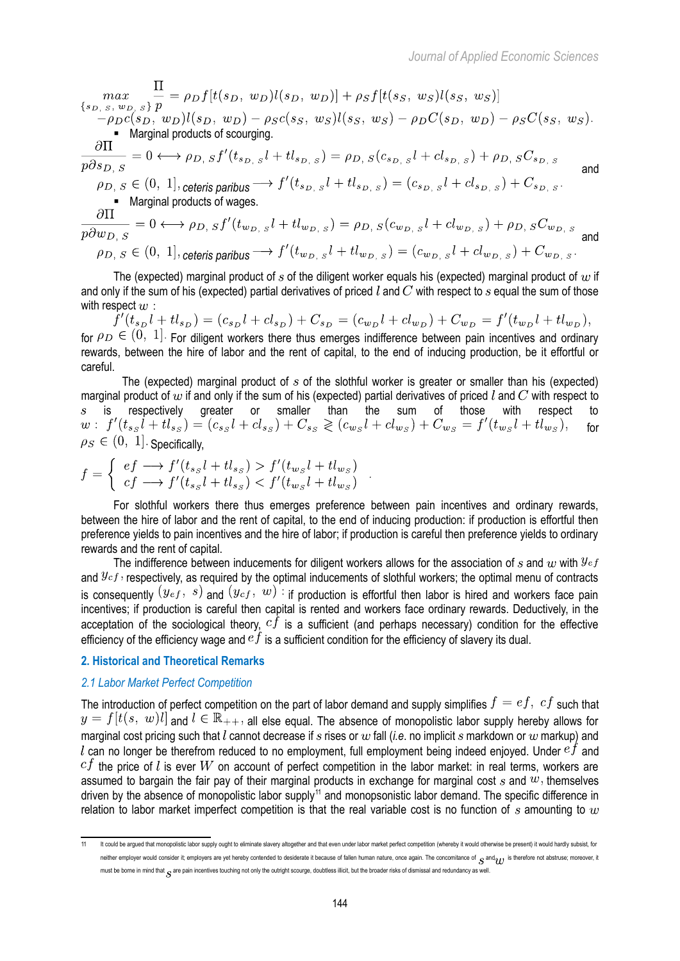$\begin{array}{l} \displaystyle \max_{\{s_{D, S}, \; w_{D, S}\}} \frac{\Pi}{p} = \rho_D f[t(s_D, \; w_D)l(s_D, \; w_D)] + \rho_S f[t(s_S, \; w_S)l(s_S, \; w_S)] \\ - \rho_D c(s_D, \; w_D)l(s_D, \; w_D) - \rho_S c(s_S, \; w_S)l(s_S, \; w_S) - \rho_D C(s_D, \; w_D) - \rho_S C(s_S, \; w_S). \end{array}$  Marginal products of scourging.

$$
\frac{\partial \Pi}{\partial s_{D,S}} = 0 \longleftrightarrow \rho_{D,S} f'(t_{s_{D,S}} l + t l_{s_{D,S}}) = \rho_{D,S}(c_{s_{D,S}} l + c l_{s_{D,S}}) + \rho_{D,S} C_{s_{D,S}}
$$
\nand

 $\rho_{D, S} \in (0, 1],$  ceteris paribus  $\longrightarrow f'(t_{s_{D, S}}l + tl_{s_{D, S}}) = (c_{s_{D, S}}l + cl_{s_{D, S}}) + C_{s_{D, S}}.$  $Marginal products of wages.$ 

$$
\frac{\partial \Pi}{p\partial w_{D,\ S}} = 0 \longleftrightarrow \rho_{D,\ S} f'(t_{w_{D,\ S}}l + t l_{w_{D,\ S}}) = \rho_{D,\ S}(c_{w_{D,\ S}}l + c l_{w_{D,\ S}}) + \rho_{D,\ S} C_{w_{D,\ S}}
$$
\nand\n
$$
\rho_{D,\ S} \in (0, 1],
$$
\n
$$
\text{ceteris paribus} \longrightarrow f'(t_{w_{D,\ S}}l + t l_{w_{D,\ S}}) = (c_{w_{D,\ S}}l + c l_{w_{D,\ S}}) + C_{w_{D,\ S}}.
$$

The (expected) marginal product of s of the diligent worker equals his (expected) marginal product of  $w$  if and only if the sum of his (expected) partial derivatives of priced  $l$  and  $C$  with respect to  $s$  equal the sum of those

with respect  $w$  :  $f'(t_{s_D}l + tl_{s_D}) = (c_{s_D}l + cl_{s_D}) + C_{s_D} = (c_{w_D}l + cl_{w_D}) + C_{w_D} = f'(t_{w_D}l + tl_{w_D}),$ for  $\rho_D \in (0, 1]$ . For diligent workers there thus emerges indifference between pain incentives and ordinary rewards, between the hire of labor and the rent of capital, to the end of inducing production, be it effortful or careful.

The (expected) marginal product of  $s$  of the slothful worker is greater or smaller than his (expected) marginal product of  $w$  if and only if the sum of his (expected) partial derivatives of priced  $l$  and  $C$  with respect to is respectively greater or smaller than the sum of those with respect to  $w: f'(t_{ss}l + tl_{ss}) = (c_{ss}l + cl_{ss}) + C_{ss} \geqslant (c_{ws}l + cl_{ws}) + C_{ws} = f'(t_{ws}l + tl_{ws})$ , for for  $\rho_S \in (0, 1]$ . Specifically,

$$
f = \begin{cases} ef \longrightarrow f'(t_{ss}l + tl_{ss}) > f'(t_{ws}l + tl_{ws}) \\ cf \longrightarrow f'(t_{ss}l + tl_{ss}) < f'(t_{ws}l + tl_{ws}) \end{cases}
$$

For slothful workers there thus emerges preference between pain incentives and ordinary rewards, between the hire of labor and the rent of capital, to the end of inducing production: if production is effortful then preference yields to pain incentives and the hire of labor; if production is careful then preference yields to ordinary rewards and the rent of capital.

The indifference between inducements for diligent workers allows for the association of s and w with  $y_{ef}$ and  $y_{cf}$ , respectively, as required by the optimal inducements of slothful workers; the optimal menu of contracts is consequently  $(y_{ef}, s)$  and  $(y_{cf}, w)$ : if production is effortful then labor is hired and workers face pain incentives; if production is careful then capital is rented and workers face ordinary rewards. Deductively, in the acceptation of the sociological theory,  $cf$  is a sufficient (and perhaps necessary) condition for the effective efficiency of the efficiency wage and  $e\hat{f}$  is a sufficient condition for the efficiency of slavery its dual.

## **2. Historical and Theoretical Remarks**

## *2.1 Labor Market Perfect Competition*

The introduction of perfect competition on the part of labor demand and supply simplifies  $f = ef$ ,  $cf$  such that  $a_n = f[t(s, w)]$  and  $l \in \mathbb{R}_{++}$ , all else equal. The absence of monopolistic labor supply hereby allows for marginal cost pricing such that  $l$  cannot decrease if  $s$  rises or  $w$  fall (*i.e.* no implicit  $s$  markdown or  $w$  markup) and l can no longer be therefrom reduced to no employment, full employment being indeed enjoyed. Under  $e^{f}$  and  $cf$  the price of l is ever  $W$  on account of perfect competition in the labor market: in real terms, workers are assumed to bargain the fair pay of their marginal products in exchange for marginal cost s and  $w$ , themselves driven by the absence of monopolistic labor supply<sup>[11](#page-5-0)</sup> and monopsonistic labor demand. The specific difference in relation to labor market imperfect competition is that the real variable cost is no function of s amounting to  $w$ 

<span id="page-5-0"></span><sup>11</sup> It could be argued that monopolistic labor supply ought to eliminate slavery altogether and that even under labor market perfect competition (whereby it would otherwise be present) it would hardly subsist, for neither employer would consider it; employers are yet hereby contended to desiderate it because of fallen human nature, once again. The concomitance of  $\frac{1}{S}$  and  $\frac{1}{S}$  is therefore not abstruse; moreover, it must be borne in mind that  $c$  are pain incentives touching not only the outright scourge, doubtless illicit, but the broader risks of dismissal and redundancy as well.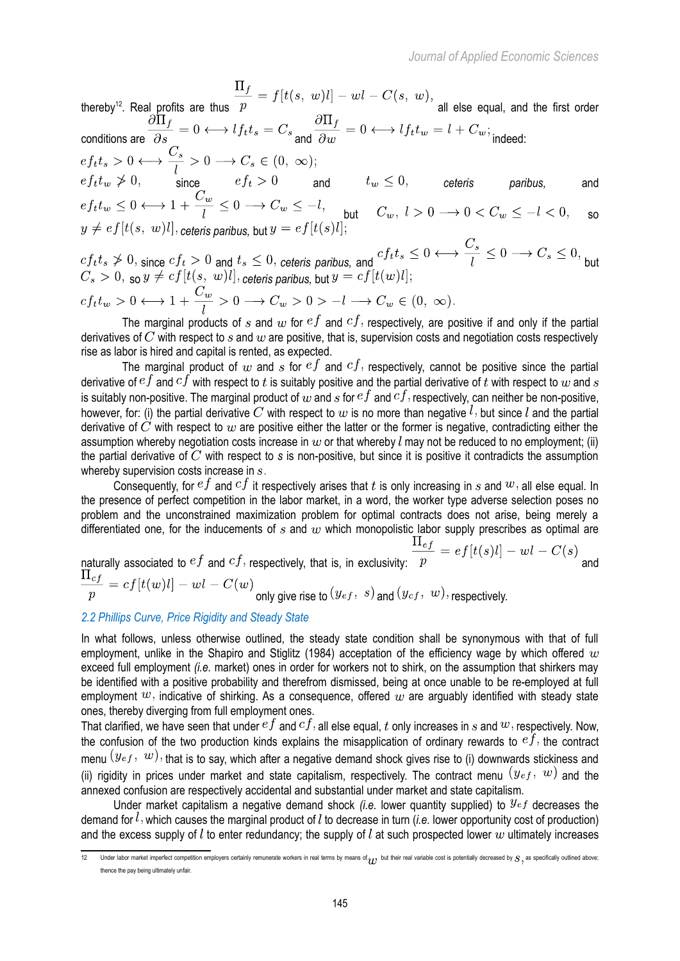thereby<sup>[12](#page-6-0)</sup>. Real profits are thus  $p$  all else equal, and the first order conditions are  $\partial s$  indeed:  $\partial w$  and  $\partial w$  indeed: since  $ef_t > 0$  and  $t_w \leq 0,$  ceteris paribus, and but  $C_w, l > 0 \longrightarrow 0 < C_w \leq -l < 0,$  so  $y \neq ef[t(s, w)l],$  ceteris paribus, but  $y = ef[t(s)l]$  $cf_t t_s \neq 0$ , since  $cf_t > 0$  and  $t_s \leq 0$ , ceteris paribus, and  $cf_t t_s \leq 0 \longleftrightarrow \frac{C_s}{l} \leq 0 \longrightarrow C_s \leq 0$ , but

$$
C_s > 0, \text{ so } y \neq cf[t(s, w)] \text{, ceteris paribus, but } y = cf[t(w)] \text{;}
$$
\n
$$
cf_t t_w > 0 \longleftrightarrow 1 + \frac{C_w}{l} > 0 \longrightarrow C_w > 0 > -l \longrightarrow C_w \in (0, \infty).
$$

The marginal products of s and  $w$  for  $ef$  and  $cf$ , respectively, are positive if and only if the partial derivatives of C with respect to s and  $w$  are positive, that is, supervision costs and negotiation costs respectively rise as labor is hired and capital is rented, as expected.

The marginal product of  $w$  and  $s$  for  $ef$  and  $cf$ , respectively, cannot be positive since the partial derivative of  $ef$  and  $cf$  with respect to  $t$  is suitably positive and the partial derivative of  $t$  with respect to  $w$  and  $s$ is suitably non-positive. The marginal product of  $w$  and  $s$  for  $ef$  and  $cf$ , respectively, can neither be non-positive, however, for: (i) the partial derivative C with respect to w is no more than negative  $l$ , but since  $l$  and the partial derivative of  $\check{C}$  with respect to  $w$  are positive either the latter or the former is negative, contradicting either the assumption whereby negotiation costs increase in  $w$  or that whereby l may not be reduced to no employment; (ii) the partial derivative of  $\bar{C}$  with respect to  $s$  is non-positive, but since it is positive it contradicts the assumption whereby supervision costs increase in  $s$ .

Consequently, for  $ef$  and  $cf$  it respectively arises that t is only increasing in s and  $w$ , all else equal. In the presence of perfect competition in the labor market, in a word, the worker type adverse selection poses no problem and the unconstrained maximization problem for optimal contracts does not arise, being merely a differentiated one, for the inducements of  $s$  and  $w$  which monopolistic labor supply prescribes as optimal are

naturally associated to 
$$
ef
$$
 and  $cf$ , respectively, that is, in exclusivity:  $\frac{\Pi_{ef}}{p} = ef[t(s)l] - wl - C(s)$ 

$$
p = c_{J} [c(\omega)\mu]
$$
  $\omega$   $c(\omega)$  only give rise to  $(y_{ef}, s)$  and  $(y_{cf}, w)$ , respectively.

## *2.2 Phillips Curve, Price Rigidity and Steady State*

In what follows, unless otherwise outlined, the steady state condition shall be synonymous with that of full employment, unlike in the Shapiro and Stiglitz (1984) acceptation of the efficiency wage by which offered  $w$ exceed full employment *(i.e.* market) ones in order for workers not to shirk, on the assumption that shirkers may be identified with a positive probability and therefrom dismissed, being at once unable to be re-employed at full employment  $w$ , indicative of shirking. As a consequence, offered  $w$  are arguably identified with steady state ones, thereby diverging from full employment ones.

That clarified, we have seen that under  $ef$  and  $cf$ , all else equal, t only increases in s and  $w$ , respectively. Now, the confusion of the two production kinds explains the misapplication of ordinary rewards to  $e\dot{f}$ , the contract menu  $(y_{eff}, w)$ , that is to say, which after a negative demand shock gives rise to (i) downwards stickiness and (ii) rigidity in prices under market and state capitalism, respectively. The contract menu  $(y_{ef}, w)$  and the annexed confusion are respectively accidental and substantial under market and state capitalism.

Under market capitalism a negative demand shock *(i.e.* lower quantity supplied) to  $y_{ef}$  decreases the demand for  $l$ , which causes the marginal product of  $l$  to decrease in turn (*i.e.* lower opportunity cost of production) and the excess supply of  $l$  to enter redundancy; the supply of  $l$  at such prospected lower  $w$  ultimately increases

<span id="page-6-0"></span><sup>12</sup> Under labor market imperfect competition employers certainly remunerate workers in real terms by means of  $_{11}$ , but their real variable cost is potentially decreased by  $S$ , as specifically outlined above; thence the pay being ultimately unfair.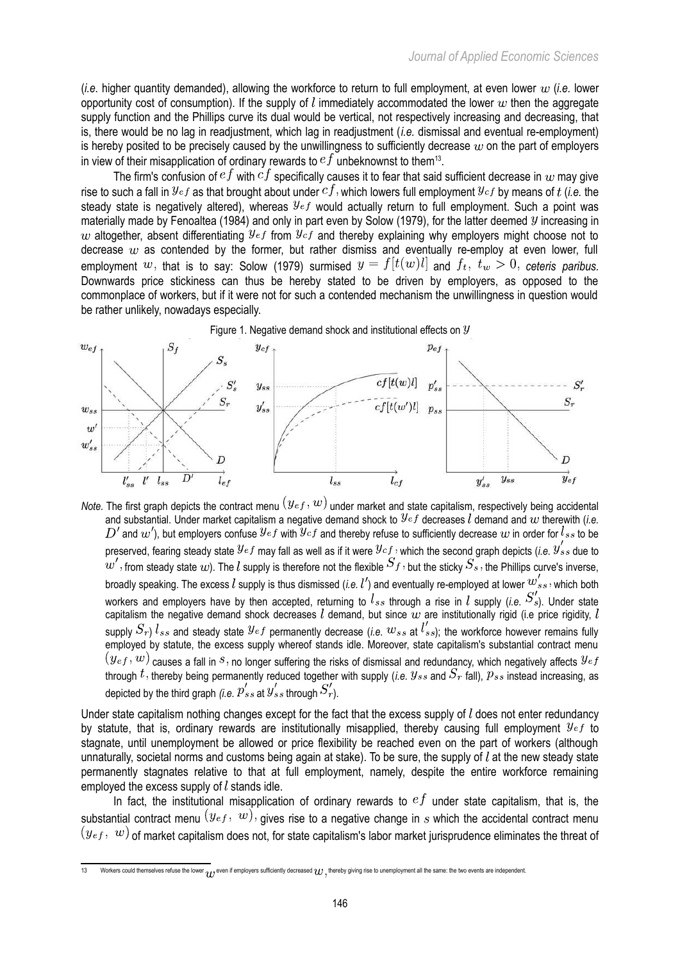(*i.e.* higher quantity demanded), allowing the workforce to return to full employment, at even lower (*i.e.* lower opportunity cost of consumption). If the supply of l immediately accommodated the lower w then the aggregate supply function and the Phillips curve its dual would be vertical, not respectively increasing and decreasing, that is, there would be no lag in readjustment, which lag in readjustment (*i.e.* dismissal and eventual re-employment) is hereby posited to be precisely caused by the unwillingness to sufficiently decrease  $w$  on the part of employers in view of their misapplication of ordinary rewards to  $e^{f}$  unbeknownst to them<sup>[13](#page-7-0)</sup>.

The firm's confusion of  $e^f$  with  $cf$  specifically causes it to fear that said sufficient decrease in  $w$  may give rise to such a fall in  $y_{ef}$  as that brought about under  $cf$ , which lowers full employment  $y_{cf}$  by means of  $t$  (*i.e.* the steady state is negatively altered), whereas  $y_{ef}$  would actually return to full employment. Such a point was materially made by Fenoaltea (1984) and only in part even by Solow (1979), for the latter deemed  $y$  increasing in w altogether, absent differentiating  $y_{ef}$  from  $y_{cf}$  and thereby explaining why employers might choose not to decrease  $w$  as contended by the former, but rather dismiss and eventually re-employ at even lower, full employment w, that is to say: Solow (1979) surmised  $y = f[t(w)l]$  and  $f_t$ ,  $t_w > 0$ , ceteris paribus. Downwards price stickiness can thus be hereby stated to be driven by employers, as opposed to the commonplace of workers, but if it were not for such a contended mechanism the unwillingness in question would be rather unlikely, nowadays especially.



*Note.* The first graph depicts the contract menu  $(y_{ef}, w)$  under market and state capitalism, respectively being accidental and substantial. Under market capitalism a negative demand shock to  $y<sub>ef</sub>$  decreases  $\vec{l}$  demand and  $w$  therewith (*i.e.*  $D'$  and  $w'$ ), but employers confuse  $y_{ef}$  with  $y_{cf}$  and thereby refuse to sufficiently decrease  $w$  in order for  $l_{ss}$  to be preserved, fearing steady state  $y_{ef}$  may fall as well as if it were  $y_{cf}$ , which the second graph depicts (*i.e.*  $y'_{ss}$  due to  $w'$ , from steady state  $w$ ). The  $l$  supply is therefore not the flexible  $S_f$ , but the sticky  $S_s$ , the Phillips curve's inverse, broadly speaking. The excess l supply is thus dismissed (*i.e.*  $l'$ ) and eventually re-employed at lower  $w'_{ss}$ , which both workers and employers have by then accepted, returning to  $l_{ss}$  through a rise in  $l$  supply (*i.e.*  $S'_{s}$ ). Under state capitalism the negative demand shock decreases  $l$  demand, but since  $w$  are institutionally rigid (i.e price rigidity,  $l$ supply  $S_r$ )  $l_{ss}$  and steady state  $y_{ef}$  permanently decrease (*i.e.*  $w_{ss}$  at  $l'_{ss}$ ); the workforce however remains fully employed by statute, the excess supply whereof stands idle. Moreover, state capitalism's substantial contract menu  $c(g_{ef}, w)$  causes a fall in  $s$ , no longer suffering the risks of dismissal and redundancy, which negatively affects  $y_{ef}$ through  $t$ , thereby being permanently reduced together with supply (*i.e.*  $y_{ss}$  and  $S_r$  fall),  $p_{ss}$  instead increasing, as depicted by the third graph *(i.e.*  $p'_{ss}$  at  $y'_{ss}$  through  $S'_r$ ).

Under state capitalism nothing changes except for the fact that the excess supply of  $l$  does not enter redundancy by statute, that is, ordinary rewards are institutionally misapplied, thereby causing full employment  $y_{ef}$  to stagnate, until unemployment be allowed or price flexibility be reached even on the part of workers (although unnaturally, societal norms and customs being again at stake). To be sure, the supply of  $l$  at the new steady state permanently stagnates relative to that at full employment, namely, despite the entire workforce remaining employed the excess supply of  $l$  stands idle.

In fact, the institutional misapplication of ordinary rewards to  $e^{f}$  under state capitalism, that is, the substantial contract menu  $(y_{ef}, w)$ , gives rise to a negative change in s which the accidental contract menu  $(y_{eff}, w)$  of market capitalism does not, for state capitalism's labor market jurisprudence eliminates the threat of

<span id="page-7-0"></span><sup>13</sup> Workers could themselves refuse the lower  $q_I$ , even if employers sufficiently decreased  $w$ , thereby giving rise to unemployment all the same: the two events are independent.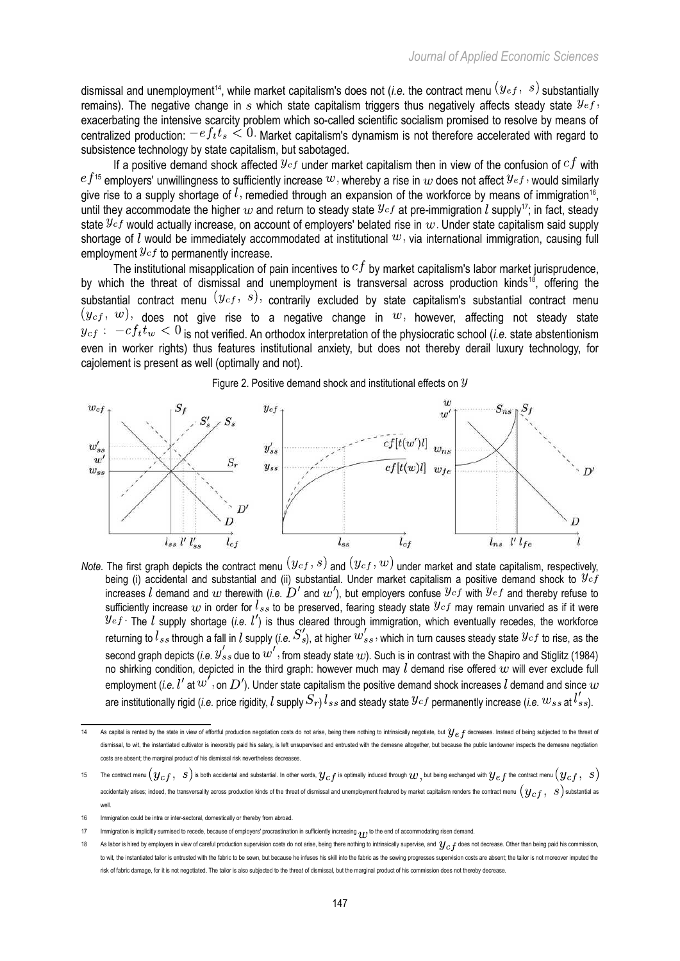dismissal and unemployment<sup>[14](#page-8-0)</sup>, while market capitalism's does not (*i.e.* the contract menu  $(y_{ef}, s)$  substantially remains). The negative change in s which state capitalism triggers thus negatively affects steady state  $y_{eff}$ , exacerbating the intensive scarcity problem which so-called scientific socialism promised to resolve by means of centralized production:  $-ef_t t_s \leq 0$ . Market capitalism's dynamism is not therefore accelerated with regard to subsistence technology by state capitalism, but sabotaged.

If a positive demand shock affected  $y_{cf}$  under market capitalism then in view of the confusion of  $cf$  with  $ef^{15}$  $ef^{15}$  $ef^{15}$  employers' unwillingness to sufficiently increase  $w$ , whereby a rise in  $w$  does not affect  $y_{ef}$ , would similarly give rise to a supply shortage of  $l$ , remedied through an expansion of the workforce by means of immigration<sup>[16](#page-8-2)</sup>, until they accommodate the higher  $w$  and return to steady state  $y_{cf}$  at pre-immigration  $l$  supply<sup>[17](#page-8-3)</sup>; in fact, steady state  $y_{cf}$  would actually increase, on account of employers' belated rise in  $w$ . Under state capitalism said supply shortage of  $l$  would be immediately accommodated at institutional  $w$ , via international immigration, causing full employment  $y_{cf}$  to permanently increase.

The institutional misapplication of pain incentives to  $cf$  by market capitalism's labor market jurisprudence, by which the threat of dismissal and unemployment is transversal across production kinds<sup>[18](#page-8-4)</sup>, offering the substantial contract menu  $(y_{cf}, s)$ , contrarily excluded by state capitalism's substantial contract menu  $(y_{cf}, w)$ , does not give rise to a negative change in  $w$ , however, affecting not steady state  $y_{cf}:$   $-cf_t t_w < 0$  is not verified. An orthodox interpretation of the physiocratic school (*i.e.* state abstentionism even in worker rights) thus features institutional anxiety, but does not thereby derail luxury technology, for cajolement is present as well (optimally and not).

Figure 2. Positive demand shock and institutional effects on  $\mathcal Y$ 



*Note.* The first graph depicts the contract menu  $(y_{cf}, s)$  and  $(y_{cf}, w)$  under market and state capitalism, respectively, being (i) accidental and substantial and (ii) substantial. Under market capitalism a positive demand shock to  $y_{cf}$ increases  $l$  demand and  $w$  therewith (*i.e.*  $D'$  and  $w'$ ), but employers confuse  $y_{cf}$  with  $y_{ef}$  and thereby refuse to sufficiently increase  $w$  in order for  $l_{ss}$  to be preserved, fearing steady state  $\mathcal{Y}cf$  may remain unvaried as if it were The  $l$  supply shortage (*i.e.*  $l'$ ) is thus cleared through immigration, which eventually recedes, the workforce returning to  $l_{ss}$  through a fall in  $l$  supply (*i.e.*  $S_{s}$ ), at higher  $w_{ss}$  , which in turn causes steady state  $\mathcal{Y}^{cf}$  to rise, as the second graph depicts (*i.e.*  $y_{ss}$  due to  $w$  , from steady state  $w$ ). Such is in contrast with the Shapiro and Stiglitz (1984) no shirking condition, depicted in the third graph: however much may  $l$  demand rise offered  $w$  will ever exclude full employment (*i.e.*  $l'$  at  $w'$ , on  $D'$ ). Under state capitalism the positive demand shock increases  $l$  demand and since  $w$ are institutionally rigid (*i.e.* price rigidity, l supply  $S_r$ )  $l_{ss}$  and steady state  $y_{cf}$  permanently increase (*i.e.*  $w_{ss}$  at  $l'_{ss}$ ).

<span id="page-8-0"></span><sup>14</sup> As capital is rented by the state in view of effortful production negotiation costs do not arise, being there nothing to intrinsically negotiate, but  $y_e$  f decreases. Instead of being subjected to the threat of dismissal, to wit, the instantiated cultivator is inexorably paid his salary, is left unsupervised and entrusted with the demesne altogether, but because the public landowner inspects the demesne negotiation marginal product of his dismissal risk nevertheless decreases.

<span id="page-8-1"></span><sup>15</sup> The contract menu  $(y_{cf},\ s)$  is both accidental and substantial. In other words,  $y_{cf}$  is optimally induced through  $w,$  but being exchanged with  $y_{ef}$  the contract menu  $(y_{cf},\ s)$ accidentally arises; indeed, the transversality across production kinds of the threat of dismissal and unemployment featured by market capitalism renders the contract menu  $(q_{cf}, s)$  substantial as well.

<span id="page-8-2"></span><sup>16</sup> Immigration could be intra or inter-sectoral, domestically or thereby from abroad.

<span id="page-8-3"></span><sup>17</sup> Immigration is implicitly surmised to recede, because of employers' procrastination in sufficiently increasing  $_{\mathcal{U}}$  to the end of accommodating risen demand.

<span id="page-8-4"></span><sup>18</sup> As labor is hired by employers in view of careful production supervision costs do not arise, being there nothing to intrinsically supervise, and  $y_c$  f does not decrease. Other than being paid his commission, to wit, the instantiated tailor is entrusted with the fabric to be sewn, but because he infuses his skill into the fabric as the sewing progresses supervision costs are absent; the tailor is not moreover imputed the risk of fabric damage, for it is not negotiated. The tailor is also subjected to the threat of dismissal, but the marginal product of his com-